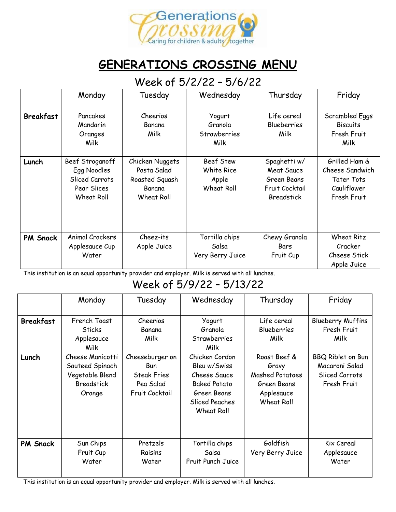

## **GENERATIONS CROSSING MENU**

#### Week of 5/2/22 – 5/6/22

|                  | Monday                                                                        | Tuesday                                                                  | Wednesday                                             | Thursday                                                                                | Friday                                                                              |
|------------------|-------------------------------------------------------------------------------|--------------------------------------------------------------------------|-------------------------------------------------------|-----------------------------------------------------------------------------------------|-------------------------------------------------------------------------------------|
| <b>Breakfast</b> | Pancakes<br>Mandarin<br>Oranges<br>Milk                                       | Cheerios<br>Banana<br>Milk                                               | Yogurt<br>Granola<br>Strawberries<br>Milk             | Life cereal<br><b>Blueberries</b><br>Milk                                               | Scrambled Eggs<br><b>Biscuits</b><br>Fresh Fruit<br>Milk                            |
| Lunch            | Beef Stroganoff<br>Egg Noodles<br>Sliced Carrots<br>Pear Slices<br>Wheat Roll | Chicken Nuggets<br>Pasta Salad<br>Roasted Squash<br>Banana<br>Wheat Roll | Beef Stew<br>White Rice<br>Apple<br><b>Wheat Roll</b> | Spaghetti w/<br><b>Meat Sauce</b><br>Green Beans<br>Fruit Cocktail<br><b>Breadstick</b> | Grilled Ham &<br>Cheese Sandwich<br><b>Tater Tots</b><br>Cauliflower<br>Fresh Fruit |
| <b>PM Snack</b>  | Animal Crackers<br>Applesauce Cup<br>Water                                    | Cheez-its<br>Apple Juice                                                 | Tortilla chips<br>Salsa<br>Very Berry Juice           | Chewy Granola<br>Bars<br>Fruit Cup                                                      | <b>Wheat Ritz</b><br>Cracker<br>Cheese Stick<br>Apple Juice                         |

This institution is an equal opportunity provider and employer. Milk is served with all lunches.

## Week of 5/9/22 – 5/13/22

|                  | Monday                                                                                | Tuesday                                                                     | Wednesday                                                                                                                   | Thursday                                                                                   | Friday                                                               |
|------------------|---------------------------------------------------------------------------------------|-----------------------------------------------------------------------------|-----------------------------------------------------------------------------------------------------------------------------|--------------------------------------------------------------------------------------------|----------------------------------------------------------------------|
| <b>Breakfast</b> | French Toast<br><b>Sticks</b><br>Applesauce<br>Milk                                   | Cheerios<br>Banana<br>Milk                                                  | Yogurt<br>Granola<br>Strawberries<br>Milk                                                                                   | Life cereal<br><b>Blueberries</b><br>Milk                                                  | <b>Blueberry Muffins</b><br>Fresh Fruit<br>Milk                      |
| Lunch            | Cheese Manicotti<br>Sauteed Spinach<br>Vegetable Blend<br><b>Breadstick</b><br>Orange | Cheeseburger on<br>Bun<br><b>Steak Fries</b><br>Pea Salad<br>Fruit Cocktail | Chicken Cordon<br>Bleu w/Swiss<br>Cheese Sauce<br><b>Baked Potato</b><br>Green Beans<br><b>Sliced Peaches</b><br>Wheat Roll | Roast Beef &<br>Gravy<br><b>Mashed Potatoes</b><br>Green Beans<br>Applesauce<br>Wheat Roll | BBQ Riblet on Bun<br>Macaroni Salad<br>Sliced Carrots<br>Fresh Fruit |
| <b>PM Snack</b>  | Sun Chips<br>Fruit Cup<br>Water                                                       | Pretzels<br>Raisins<br>Water                                                | Tortilla chips<br>Salsa<br>Fruit Punch Juice                                                                                | Goldfish<br>Very Berry Juice                                                               | Kix Cereal<br>Applesauce<br>Water                                    |

This institution is an equal opportunity provider and employer. Milk is served with all lunches.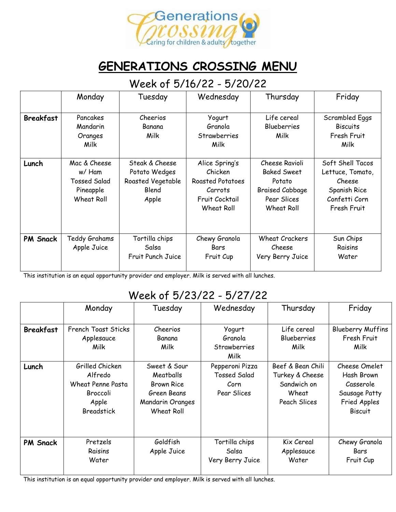

## **GENERATIONS CROSSING MENU**

#### Week of 5/16/22 - 5/20/22

|                  | Monday                                                                          | Tuesday                                                                | Wednesday                                                                                | Thursday                                                                                              | Friday                                                                                         |
|------------------|---------------------------------------------------------------------------------|------------------------------------------------------------------------|------------------------------------------------------------------------------------------|-------------------------------------------------------------------------------------------------------|------------------------------------------------------------------------------------------------|
| <b>Breakfast</b> | Pancakes<br>Mandarin<br>Oranges<br>Milk                                         | Cheerios<br>Banana<br>Milk                                             | Yogurt<br>Granola<br>Strawberries<br>Milk                                                | Life cereal<br><b>Blueberries</b><br>Milk                                                             | Scrambled Eggs<br><b>Biscuits</b><br>Fresh Fruit<br>Milk                                       |
| Lunch            | Mac & Cheese<br>w/ Ham<br><b>Tossed Salad</b><br>Pineapple<br><b>Wheat Roll</b> | Steak & Cheese<br>Potato Wedges<br>Roasted Vegetable<br>Blend<br>Apple | Alice Spring's<br>Chicken<br>Roasted Potatoes<br>Carrots<br>Fruit Cocktail<br>Wheat Roll | Cheese Ravioli<br><b>Baked Sweet</b><br>Potato<br><b>Braised Cabbage</b><br>Pear Slices<br>Wheat Roll | Soft Shell Tacos<br>Lettuce, Tomato,<br>Cheese<br>Spanish Rice<br>Confetti Corn<br>Fresh Fruit |
| PM Snack         | Teddy Grahams<br>Apple Juice                                                    | Tortilla chips<br>Salsa<br>Fruit Punch Juice                           | Chewy Granola<br>Bars<br>Fruit Cup                                                       | <b>Wheat Crackers</b><br>Cheese<br>Very Berry Juice                                                   | Sun Chips<br>Raisins<br>Water                                                                  |

This institution is an equal opportunity provider and employer. Milk is served with all lunches.

#### Week of 5/23/22 - 5/27/22

|                  | Monday                                                                                           | Tuesday                                                                                         | Wednesday                                                     | Thursday                                                                     | Friday                                                                                      |
|------------------|--------------------------------------------------------------------------------------------------|-------------------------------------------------------------------------------------------------|---------------------------------------------------------------|------------------------------------------------------------------------------|---------------------------------------------------------------------------------------------|
| <b>Breakfast</b> | French Toast Sticks<br>Applesauce<br>Milk                                                        | Cheerios<br>Banana<br>Milk                                                                      | Yogurt<br>Granola<br><b>Strawberries</b><br>Milk              | Life cereal<br><b>Blueberries</b><br>Milk                                    | <b>Blueberry Muffins</b><br>Fresh Fruit<br>Milk                                             |
| Lunch            | Grilled Chicken<br>Alfredo<br><b>Wheat Penne Pasta</b><br>Broccoli<br>Apple<br><b>Breadstick</b> | Sweet & Sour<br>Meatballs<br><b>Brown Rice</b><br>Green Beans<br>Mandarin Oranges<br>Wheat Roll | Pepperoni Pizza<br><b>Tossed Salad</b><br>Corn<br>Pear Slices | Beef & Bean Chili<br>Turkey & Cheese<br>Sandwich on<br>Wheat<br>Peach Slices | Cheese Omelet<br>Hash Brown<br>Casserole<br>Sausage Patty<br>Fried Apples<br><b>Biscuit</b> |
| <b>PM Snack</b>  | Pretzels<br>Raisins<br>Water                                                                     | Goldfish<br>Apple Juice                                                                         | Tortilla chips<br>Salsa<br>Very Berry Juice                   | Kix Cereal<br>Applesauce<br>Water                                            | Chewy Granola<br>Bars<br>Fruit Cup                                                          |

This institution is an equal opportunity provider and employer. Milk is served with all lunches.